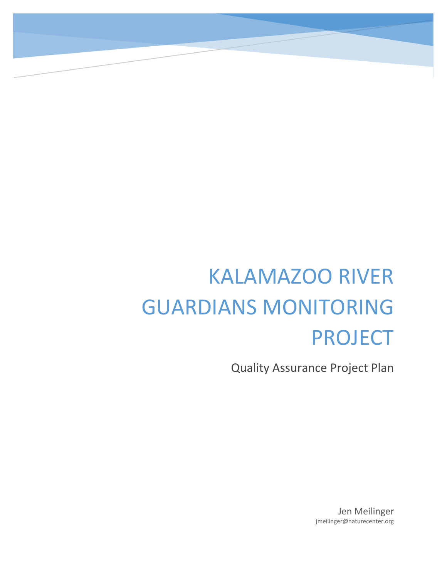# KALAMAZOO RIVER GUARDIANS MONITORING PROJECT

Quality Assurance Project Plan

Jen Meilinger jmeilinger@naturecenter.org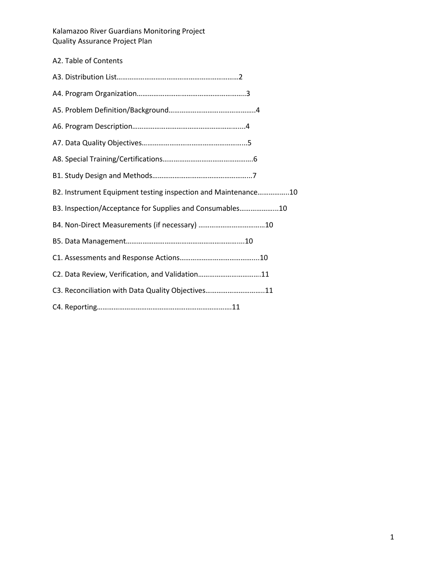| A2. Table of Contents                                         |
|---------------------------------------------------------------|
|                                                               |
|                                                               |
|                                                               |
|                                                               |
|                                                               |
|                                                               |
|                                                               |
| B2. Instrument Equipment testing inspection and Maintenance10 |
| B3. Inspection/Acceptance for Supplies and Consumables10      |
|                                                               |
|                                                               |
|                                                               |
| C2. Data Review, Verification, and Validation11               |
| C3. Reconciliation with Data Quality Objectives11             |
|                                                               |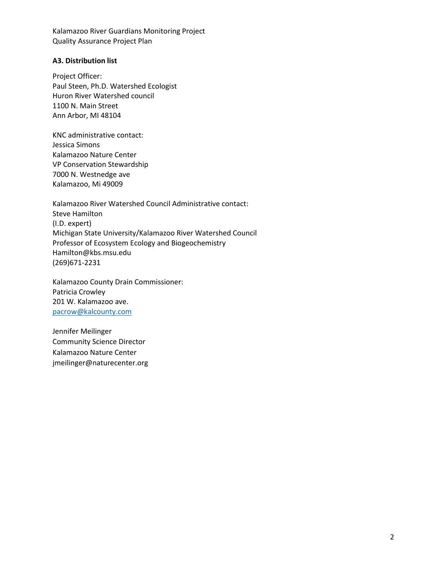## **A3. Distribution list**

Project Officer: Paul Steen, Ph.D. Watershed Ecologist Huron River Watershed council 1100 N. Main Street Ann Arbor, MI 48104

KNC administrative contact: Jessica Simons Kalamazoo Nature Center VP Conservation Stewardship 7000 N. Westnedge ave Kalamazoo, Mi 49009

Kalamazoo River Watershed Council Administrative contact: Steve Hamilton (I.D. expert) Michigan State University/Kalamazoo River Watershed Council Professor of Ecosystem Ecology and Biogeochemistry Hamilton@kbs.msu.edu (269)671-2231

Kalamazoo County Drain Commissioner: Patricia Crowley 201 W. Kalamazoo ave. [pacrow@kalcounty.com](mailto:pacrow@kalcounty.com)

Jennifer Meilinger Community Science Director Kalamazoo Nature Center jmeilinger@naturecenter.org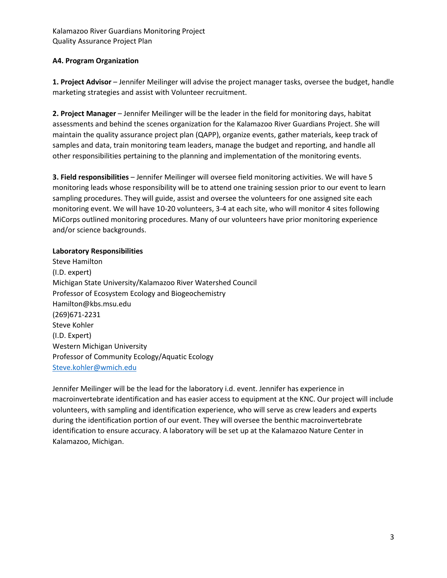# **A4. Program Organization**

**1. Project Advisor** – Jennifer Meilinger will advise the project manager tasks, oversee the budget, handle marketing strategies and assist with Volunteer recruitment.

**2. Project Manager** – Jennifer Meilinger will be the leader in the field for monitoring days, habitat assessments and behind the scenes organization for the Kalamazoo River Guardians Project. She will maintain the quality assurance project plan (QAPP), organize events, gather materials, keep track of samples and data, train monitoring team leaders, manage the budget and reporting, and handle all other responsibilities pertaining to the planning and implementation of the monitoring events.

**3. Field responsibilities** – Jennifer Meilinger will oversee field monitoring activities. We will have 5 monitoring leads whose responsibility will be to attend one training session prior to our event to learn sampling procedures. They will guide, assist and oversee the volunteers for one assigned site each monitoring event. We will have 10-20 volunteers, 3-4 at each site, who will monitor 4 sites following MiCorps outlined monitoring procedures. Many of our volunteers have prior monitoring experience and/or science backgrounds.

# **Laboratory Responsibilities**

Steve Hamilton (I.D. expert) Michigan State University/Kalamazoo River Watershed Council Professor of Ecosystem Ecology and Biogeochemistry Hamilton@kbs.msu.edu (269)671-2231 Steve Kohler (I.D. Expert) Western Michigan University Professor of Community Ecology/Aquatic Ecology [Steve.kohler@wmich.edu](mailto:Steve.kohler@wmich.edu)

Jennifer Meilinger will be the lead for the laboratory i.d. event. Jennifer has experience in macroinvertebrate identification and has easier access to equipment at the KNC. Our project will include volunteers, with sampling and identification experience, who will serve as crew leaders and experts during the identification portion of our event. They will oversee the benthic macroinvertebrate identification to ensure accuracy. A laboratory will be set up at the Kalamazoo Nature Center in Kalamazoo, Michigan.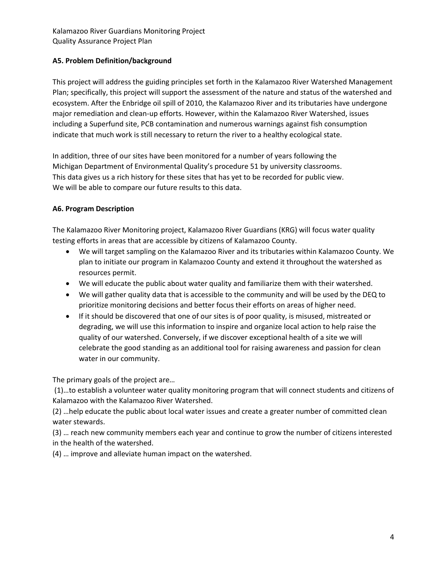# **A5. Problem Definition/background**

This project will address the guiding principles set forth in the Kalamazoo River Watershed Management Plan; specifically, this project will support the assessment of the nature and status of the watershed and ecosystem. After the Enbridge oil spill of 2010, the Kalamazoo River and its tributaries have undergone major remediation and clean-up efforts. However, within the Kalamazoo River Watershed, issues including a Superfund site, PCB contamination and numerous warnings against fish consumption indicate that much work is still necessary to return the river to a healthy ecological state.

In addition, three of our sites have been monitored for a number of years following the Michigan Department of Environmental Quality's procedure 51 by university classrooms. This data gives us a rich history for these sites that has yet to be recorded for public view. We will be able to compare our future results to this data.

## **A6. Program Description**

The Kalamazoo River Monitoring project, Kalamazoo River Guardians (KRG) will focus water quality testing efforts in areas that are accessible by citizens of Kalamazoo County.

- We will target sampling on the Kalamazoo River and its tributaries within Kalamazoo County. We plan to initiate our program in Kalamazoo County and extend it throughout the watershed as resources permit.
- We will educate the public about water quality and familiarize them with their watershed.
- We will gather quality data that is accessible to the community and will be used by the DEQ to prioritize monitoring decisions and better focus their efforts on areas of higher need.
- If it should be discovered that one of our sites is of poor quality, is misused, mistreated or degrading, we will use this information to inspire and organize local action to help raise the quality of our watershed. Conversely, if we discover exceptional health of a site we will celebrate the good standing as an additional tool for raising awareness and passion for clean water in our community.

The primary goals of the project are…

(1)…to establish a volunteer water quality monitoring program that will connect students and citizens of Kalamazoo with the Kalamazoo River Watershed.

(2) …help educate the public about local water issues and create a greater number of committed clean water stewards.

(3) … reach new community members each year and continue to grow the number of citizens interested in the health of the watershed.

(4) … improve and alleviate human impact on the watershed.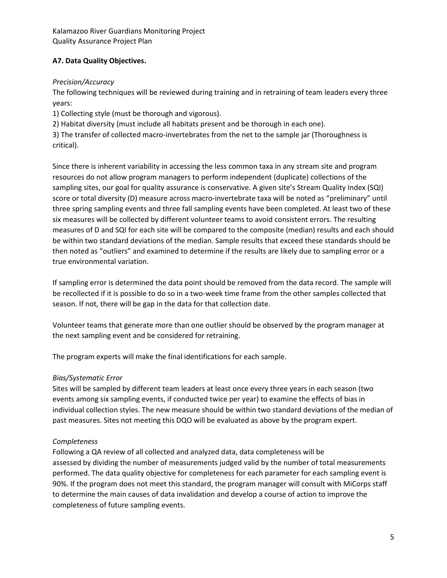# **A7. Data Quality Objectives.**

# *Precision/Accuracy*

The following techniques will be reviewed during training and in retraining of team leaders every three years:

1) Collecting style (must be thorough and vigorous).

2) Habitat diversity (must include all habitats present and be thorough in each one).

3) The transfer of collected macro-invertebrates from the net to the sample jar (Thoroughness is critical).

Since there is inherent variability in accessing the less common taxa in any stream site and program resources do not allow program managers to perform independent (duplicate) collections of the sampling sites, our goal for quality assurance is conservative. A given site's Stream Quality Index (SQI) score or total diversity (D) measure across macro-invertebrate taxa will be noted as "preliminary" until three spring sampling events and three fall sampling events have been completed. At least two of these six measures will be collected by different volunteer teams to avoid consistent errors. The resulting measures of D and SQI for each site will be compared to the composite (median) results and each should be within two standard deviations of the median. Sample results that exceed these standards should be then noted as "outliers" and examined to determine if the results are likely due to sampling error or a true environmental variation.

If sampling error is determined the data point should be removed from the data record. The sample will be recollected if it is possible to do so in a two-week time frame from the other samples collected that season. If not, there will be gap in the data for that collection date.

Volunteer teams that generate more than one outlier should be observed by the program manager at the next sampling event and be considered for retraining.

The program experts will make the final identifications for each sample.

# *Bias/Systematic Error*

Sites will be sampled by different team leaders at least once every three years in each season (two events among six sampling events, if conducted twice per year) to examine the effects of bias in individual collection styles. The new measure should be within two standard deviations of the median of past measures. Sites not meeting this DQO will be evaluated as above by the program expert.

# *Completeness*

Following a QA review of all collected and analyzed data, data completeness will be assessed by dividing the number of measurements judged valid by the number of total measurements performed. The data quality objective for completeness for each parameter for each sampling event is 90%. If the program does not meet this standard, the program manager will consult with MiCorps staff to determine the main causes of data invalidation and develop a course of action to improve the completeness of future sampling events.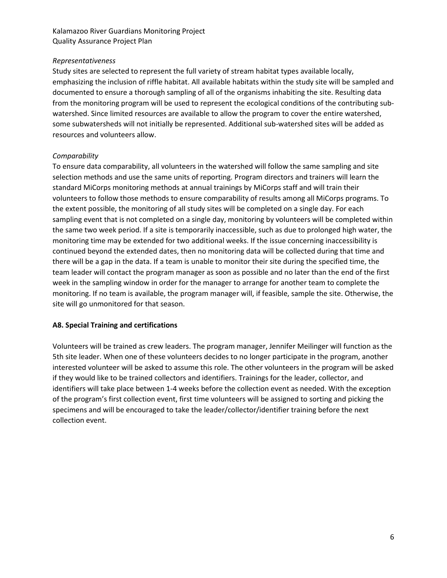## *Representativeness*

Study sites are selected to represent the full variety of stream habitat types available locally, emphasizing the inclusion of riffle habitat. All available habitats within the study site will be sampled and documented to ensure a thorough sampling of all of the organisms inhabiting the site. Resulting data from the monitoring program will be used to represent the ecological conditions of the contributing subwatershed. Since limited resources are available to allow the program to cover the entire watershed, some subwatersheds will not initially be represented. Additional sub-watershed sites will be added as resources and volunteers allow.

# *Comparability*

To ensure data comparability, all volunteers in the watershed will follow the same sampling and site selection methods and use the same units of reporting. Program directors and trainers will learn the standard MiCorps monitoring methods at annual trainings by MiCorps staff and will train their volunteers to follow those methods to ensure comparability of results among all MiCorps programs. To the extent possible, the monitoring of all study sites will be completed on a single day. For each sampling event that is not completed on a single day, monitoring by volunteers will be completed within the same two week period. If a site is temporarily inaccessible, such as due to prolonged high water, the monitoring time may be extended for two additional weeks. If the issue concerning inaccessibility is continued beyond the extended dates, then no monitoring data will be collected during that time and there will be a gap in the data. If a team is unable to monitor their site during the specified time, the team leader will contact the program manager as soon as possible and no later than the end of the first week in the sampling window in order for the manager to arrange for another team to complete the monitoring. If no team is available, the program manager will, if feasible, sample the site. Otherwise, the site will go unmonitored for that season.

# **A8. Special Training and certifications**

Volunteers will be trained as crew leaders. The program manager, Jennifer Meilinger will function as the 5th site leader. When one of these volunteers decides to no longer participate in the program, another interested volunteer will be asked to assume this role. The other volunteers in the program will be asked if they would like to be trained collectors and identifiers. Trainings for the leader, collector, and identifiers will take place between 1-4 weeks before the collection event as needed. With the exception of the program's first collection event, first time volunteers will be assigned to sorting and picking the specimens and will be encouraged to take the leader/collector/identifier training before the next collection event.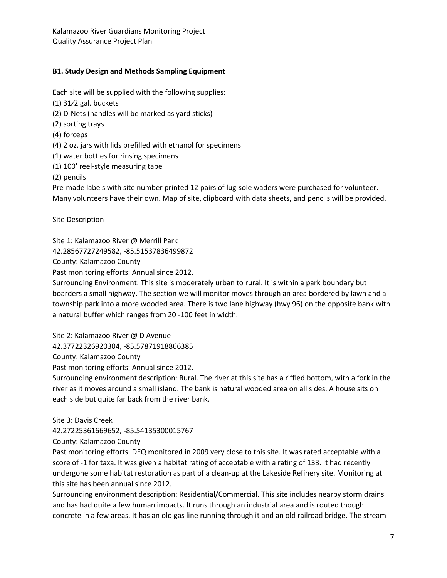# **B1. Study Design and Methods Sampling Equipment**

Each site will be supplied with the following supplies:

- (1) 31⁄2 gal. buckets
- (2) D-Nets (handles will be marked as yard sticks)
- (2) sorting trays
- (4) forceps
- (4) 2 oz. jars with lids prefilled with ethanol for specimens
- (1) water bottles for rinsing specimens
- (1) 100' reel-style measuring tape

(2) pencils

Pre-made labels with site number printed 12 pairs of lug-sole waders were purchased for volunteer. Many volunteers have their own. Map of site, clipboard with data sheets, and pencils will be provided.

Site Description

Site 1: Kalamazoo River @ Merrill Park

42.28567727249582, -85.51537836499872

County: Kalamazoo County

Past monitoring efforts: Annual since 2012.

Surrounding Environment: This site is moderately urban to rural. It is within a park boundary but boarders a small highway. The section we will monitor moves through an area bordered by lawn and a township park into a more wooded area. There is two lane highway (hwy 96) on the opposite bank with a natural buffer which ranges from 20 -100 feet in width.

Site 2: Kalamazoo River @ D Avenue

42.37722326920304, -85.57871918866385

County: Kalamazoo County

Past monitoring efforts: Annual since 2012.

Surrounding environment description: Rural. The river at this site has a riffled bottom, with a fork in the river as it moves around a small island. The bank is natural wooded area on all sides. A house sits on each side but quite far back from the river bank.

Site 3: Davis Creek

42.27225361669652, -85.54135300015767

County: Kalamazoo County

Past monitoring efforts: DEQ monitored in 2009 very close to this site. It was rated acceptable with a score of -1 for taxa. It was given a habitat rating of acceptable with a rating of 133. It had recently undergone some habitat restoration as part of a clean-up at the Lakeside Refinery site. Monitoring at this site has been annual since 2012.

Surrounding environment description: Residential/Commercial. This site includes nearby storm drains and has had quite a few human impacts. It runs through an industrial area and is routed though concrete in a few areas. It has an old gas line running through it and an old railroad bridge. The stream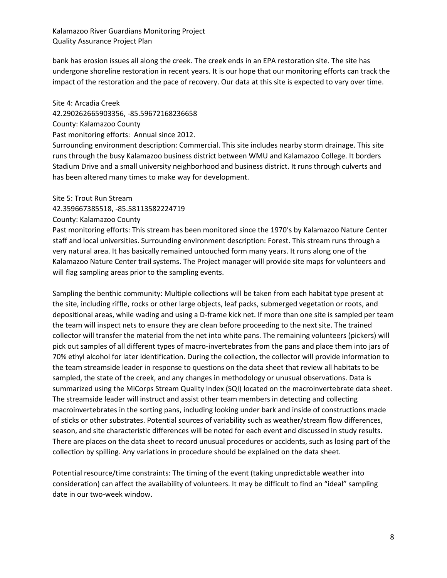bank has erosion issues all along the creek. The creek ends in an EPA restoration site. The site has undergone shoreline restoration in recent years. It is our hope that our monitoring efforts can track the impact of the restoration and the pace of recovery. Our data at this site is expected to vary over time.

#### Site 4: Arcadia Creek

42.290262665903356, -85.59672168236658

County: Kalamazoo County

Past monitoring efforts: Annual since 2012.

Surrounding environment description: Commercial. This site includes nearby storm drainage. This site runs through the busy Kalamazoo business district between WMU and Kalamazoo College. It borders Stadium Drive and a small university neighborhood and business district. It runs through culverts and has been altered many times to make way for development.

#### Site 5: Trout Run Stream

42.359667385518, -85.58113582224719

#### County: Kalamazoo County

Past monitoring efforts: This stream has been monitored since the 1970's by Kalamazoo Nature Center staff and local universities. Surrounding environment description: Forest. This stream runs through a very natural area. It has basically remained untouched form many years. It runs along one of the Kalamazoo Nature Center trail systems. The Project manager will provide site maps for volunteers and will flag sampling areas prior to the sampling events.

Sampling the benthic community: Multiple collections will be taken from each habitat type present at the site, including riffle, rocks or other large objects, leaf packs, submerged vegetation or roots, and depositional areas, while wading and using a D-frame kick net. If more than one site is sampled per team the team will inspect nets to ensure they are clean before proceeding to the next site. The trained collector will transfer the material from the net into white pans. The remaining volunteers (pickers) will pick out samples of all different types of macro-invertebrates from the pans and place them into jars of 70% ethyl alcohol for later identification. During the collection, the collector will provide information to the team streamside leader in response to questions on the data sheet that review all habitats to be sampled, the state of the creek, and any changes in methodology or unusual observations. Data is summarized using the MiCorps Stream Quality Index (SQI) located on the macroinvertebrate data sheet. The streamside leader will instruct and assist other team members in detecting and collecting macroinvertebrates in the sorting pans, including looking under bark and inside of constructions made of sticks or other substrates. Potential sources of variability such as weather/stream flow differences, season, and site characteristic differences will be noted for each event and discussed in study results. There are places on the data sheet to record unusual procedures or accidents, such as losing part of the collection by spilling. Any variations in procedure should be explained on the data sheet.

Potential resource/time constraints: The timing of the event (taking unpredictable weather into consideration) can affect the availability of volunteers. It may be difficult to find an "ideal" sampling date in our two-week window.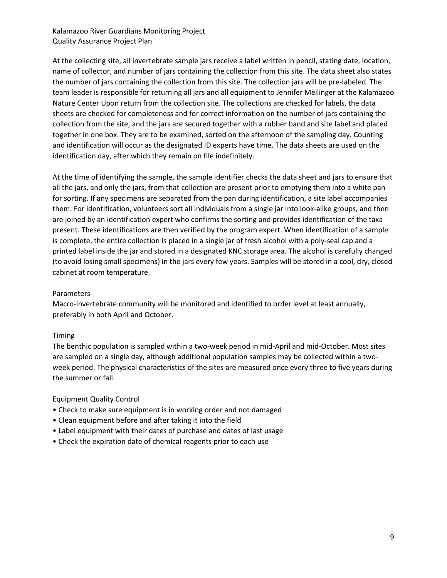At the collecting site, all invertebrate sample jars receive a label written in pencil, stating date, location, name of collector, and number of jars containing the collection from this site. The data sheet also states the number of jars containing the collection from this site. The collection jars will be pre-labeled. The team leader is responsible for returning all jars and all equipment to Jennifer Meilinger at the Kalamazoo Nature Center Upon return from the collection site. The collections are checked for labels, the data sheets are checked for completeness and for correct information on the number of jars containing the collection from the site, and the jars are secured together with a rubber band and site label and placed together in one box. They are to be examined, sorted on the afternoon of the sampling day. Counting and identification will occur as the designated ID experts have time. The data sheets are used on the identification day, after which they remain on file indefinitely.

At the time of identifying the sample, the sample identifier checks the data sheet and jars to ensure that all the jars, and only the jars, from that collection are present prior to emptying them into a white pan for sorting. If any specimens are separated from the pan during identification, a site label accompanies them. For identification, volunteers sort all individuals from a single jar into look-alike groups, and then are joined by an identification expert who confirms the sorting and provides identification of the taxa present. These identifications are then verified by the program expert. When identification of a sample is complete, the entire collection is placed in a single jar of fresh alcohol with a poly-seal cap and a printed label inside the jar and stored in a designated KNC storage area. The alcohol is carefully changed (to avoid losing small specimens) in the jars every few years. Samples will be stored in a cool, dry, closed cabinet at room temperature.

## Parameters

Macro-invertebrate community will be monitored and identified to order level at least annually, preferably in both April and October.

## Timing

The benthic population is sampled within a two-week period in mid-April and mid-October. Most sites are sampled on a single day, although additional population samples may be collected within a twoweek period. The physical characteristics of the sites are measured once every three to five years during the summer or fall.

## Equipment Quality Control

- Check to make sure equipment is in working order and not damaged
- Clean equipment before and after taking it into the field
- Label equipment with their dates of purchase and dates of last usage
- Check the expiration date of chemical reagents prior to each use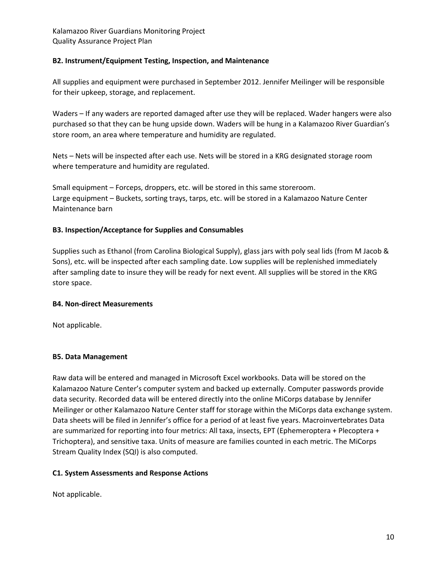# **B2. Instrument/Equipment Testing, Inspection, and Maintenance**

All supplies and equipment were purchased in September 2012. Jennifer Meilinger will be responsible for their upkeep, storage, and replacement.

Waders – If any waders are reported damaged after use they will be replaced. Wader hangers were also purchased so that they can be hung upside down. Waders will be hung in a Kalamazoo River Guardian's store room, an area where temperature and humidity are regulated.

Nets – Nets will be inspected after each use. Nets will be stored in a KRG designated storage room where temperature and humidity are regulated.

Small equipment – Forceps, droppers, etc. will be stored in this same storeroom. Large equipment – Buckets, sorting trays, tarps, etc. will be stored in a Kalamazoo Nature Center Maintenance barn

# **B3. Inspection/Acceptance for Supplies and Consumables**

Supplies such as Ethanol (from Carolina Biological Supply), glass jars with poly seal lids (from M Jacob & Sons), etc. will be inspected after each sampling date. Low supplies will be replenished immediately after sampling date to insure they will be ready for next event. All supplies will be stored in the KRG store space.

## **B4. Non-direct Measurements**

Not applicable.

# **B5. Data Management**

Raw data will be entered and managed in Microsoft Excel workbooks. Data will be stored on the Kalamazoo Nature Center's computer system and backed up externally. Computer passwords provide data security. Recorded data will be entered directly into the online MiCorps database by Jennifer Meilinger or other Kalamazoo Nature Center staff for storage within the MiCorps data exchange system. Data sheets will be filed in Jennifer's office for a period of at least five years. Macroinvertebrates Data are summarized for reporting into four metrics: All taxa, insects, EPT (Ephemeroptera + Plecoptera + Trichoptera), and sensitive taxa. Units of measure are families counted in each metric. The MiCorps Stream Quality Index (SQI) is also computed.

## **C1. System Assessments and Response Actions**

Not applicable.